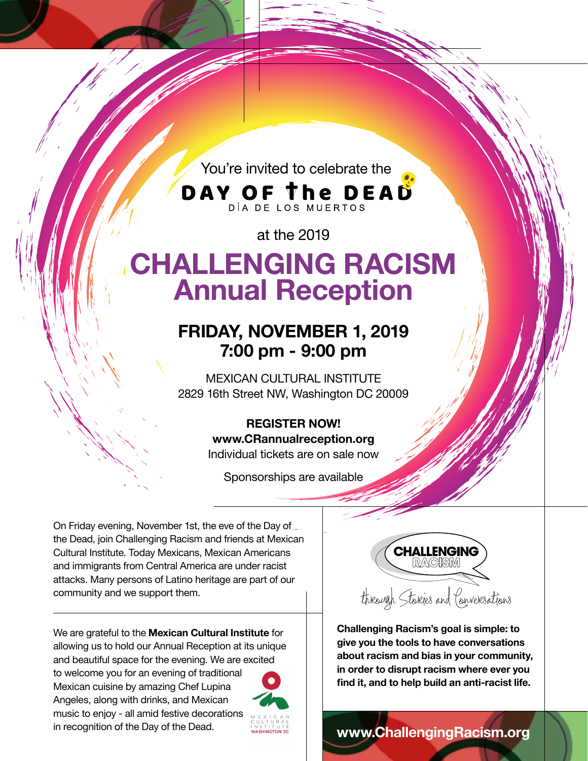You're invited to celebrate the

**DAY OF The DEAD** 

at the 2019

# **CHALLENGING RACISM Annual Reception**

## **FRIDAY, NOVEMBER 1, 2019 7:00 pm - 9:00 pm**

MEXICAN CULTURAL INSTITUTE 2829 16th Street NW, Washington DC 20009

## **REGISTER NOW!**

**www.CRannualreception.org**

Individual tickets are on sale now

Sponsorships are available

On Friday evening, November 1st, the eve of the Day of the Dead, join Challenging Racism and friends at Mexican Cultural Institute. Today Mexicans, Mexican Americans and immigrants from Central America are under racist attacks. Many persons of Latino heritage are part of our community and we support them.

We are grateful to the **Mexican Cultural Institute** for allowing us to hold our Annual Reception at its unique and beautiful space for the evening. We are excited

to welcome you for an evening of traditional Mexican cuisine by amazing Chef Lupina Angeles, along with drinks, and Mexican music to enjoy - all amid festive decorations in recognition of the Day of the Dead.





**Challenging Racism's goal is simple: to give you the tools to have conversations about racism and bias in your community, in order to disrupt racism where ever you find it, and to help build an anti-racist life.**

**www.ChallengingRacism.org**